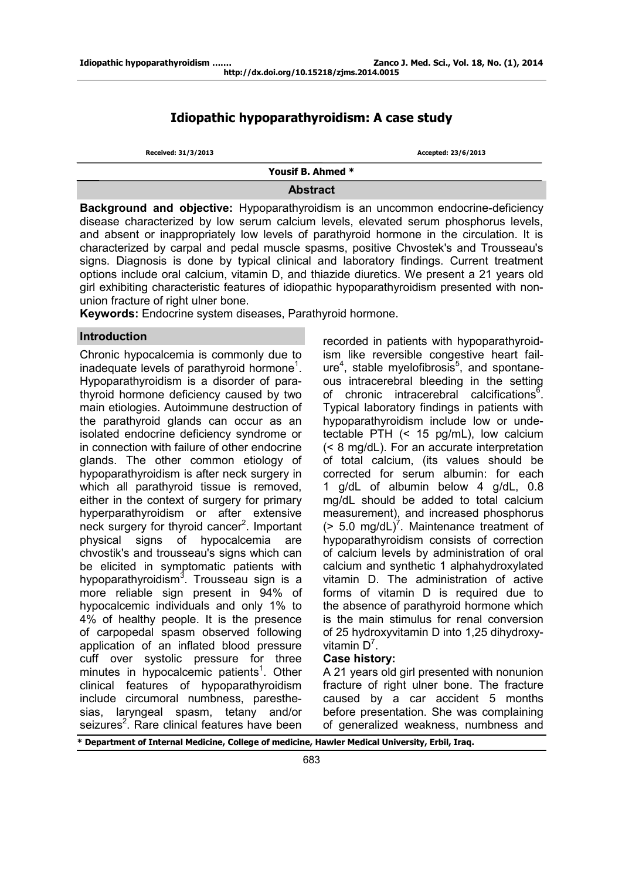# **Idiopathic hypoparathyroidism: A case study**

| Received: 31/3/2013 | Accepted: 23/6/2013 |
|---------------------|---------------------|
| Yousif B. Ahmed *   |                     |
| <b>Abstract</b>     |                     |

**Background and objective:** Hypoparathyroidism is an uncommon endocrine-deficiency disease characterized by low serum calcium levels, elevated serum phosphorus levels, and absent or inappropriately low levels of parathyroid hormone in the circulation. It is characterized by carpal and pedal muscle spasms, positive Chvostek's and Trousseau's signs. Diagnosis is done by typical clinical and laboratory findings. Current treatment options include oral calcium, vitamin D, and thiazide diuretics. We present a 21 years old girl exhibiting characteristic features of idiopathic hypoparathyroidism presented with nonunion fracture of right ulner bone.

**Keywords:** Endocrine system diseases, Parathyroid hormone.

# **Introduction**

Chronic hypocalcemia is commonly due to inadequate levels of parathyroid hormone<sup>1</sup>. Hypoparathyroidism is a disorder of parathyroid hormone deficiency caused by two main etiologies. Autoimmune destruction of the parathyroid glands can occur as an isolated endocrine deficiency syndrome or in connection with failure of other endocrine glands. The other common etiology of hypoparathyroidism is after neck surgery in which all parathyroid tissue is removed, either in the context of surgery for primary hyperparathyroidism or after extensive neck surgery for thyroid cancer<sup>2</sup>. Important physical signs of hypocalcemia are chvostik's and trousseau's signs which can be elicited in symptomatic patients with hypoparathyroidism<sup>3</sup>. Trousseau sign is a more reliable sign present in 94% of hypocalcemic individuals and only 1% to 4% of healthy people. It is the presence of carpopedal spasm observed following application of an inflated blood pressure cuff over systolic pressure for three minutes in hypocalcemic patients<sup>1</sup>. Other clinical features of hypoparathyroidism include circumoral numbness, paresthesias, laryngeal spasm, tetany and/or seizures<sup>2</sup>. Rare clinical features have been

recorded in patients with hypoparathyroidism like reversible congestive heart failure<sup>4</sup>, stable myelofibrosis<sup>5</sup>, and spontaneous intracerebral bleeding in the setting of chronic intracerebral calcifications<sup>6</sup>. Typical laboratory findings in patients with hypoparathyroidism include low or undetectable PTH (< 15 pg/mL), low calcium (< 8 mg/dL). For an accurate interpretation of total calcium, (its values should be corrected for serum albumin: for each 1 g/dL of albumin below 4 g/dL, 0.8 mg/dL should be added to total calcium measurement), and increased phosphorus  $($  > 5.0 mg/dL $)^7$ . Maintenance treatment of hypoparathyroidism consists of correction of calcium levels by administration of oral calcium and synthetic 1 alphahydroxylated vitamin D. The administration of active forms of vitamin D is required due to the absence of parathyroid hormone which is the main stimulus for renal conversion of 25 hydroxyvitamin D into 1,25 dihydroxyvitamin  $D^7$ .

# **Case history:**

A 21 years old girl presented with nonunion fracture of right ulner bone. The fracture caused by a car accident 5 months before presentation. She was complaining of generalized weakness, numbness and

**\* Department of Internal Medicine, College of medicine, Hawler Medical University, Erbil, Iraq.**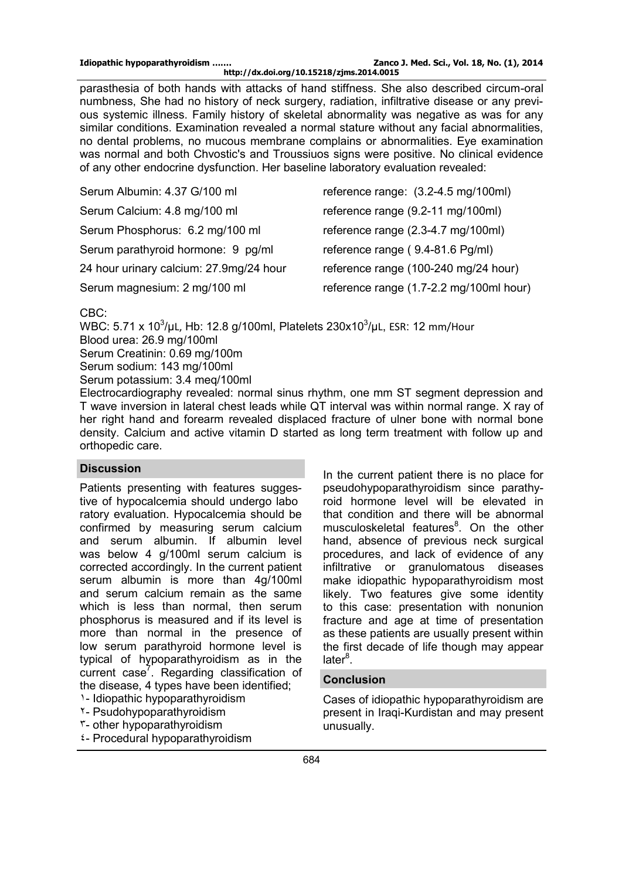parasthesia of both hands with attacks of hand stiffness. She also described circum-oral numbness, She had no history of neck surgery, radiation, infiltrative disease or any previous systemic illness. Family history of skeletal abnormality was negative as was for any similar conditions. Examination revealed a normal stature without any facial abnormalities, no dental problems, no mucous membrane complains or abnormalities. Eye examination was normal and both Chvostic's and Troussiuos signs were positive. No clinical evidence of any other endocrine dysfunction. Her baseline laboratory evaluation revealed:

| Serum Albumin: 4.37 G/100 ml            | reference range: (3.2-4.5 mg/100ml)     |
|-----------------------------------------|-----------------------------------------|
| Serum Calcium: 4.8 mg/100 ml            | reference range (9.2-11 mg/100ml)       |
| Serum Phosphorus: 6.2 mg/100 ml         | reference range (2.3-4.7 mg/100ml)      |
| Serum parathyroid hormone: 9 pg/ml      | reference range (9.4-81.6 Pg/ml)        |
| 24 hour urinary calcium: 27.9mg/24 hour | reference range (100-240 mg/24 hour)    |
| Serum magnesium: 2 mg/100 ml            | reference range (1.7-2.2 mg/100ml hour) |

CBC:

WBC: 5.71 x 10 $^3$ /µL, Hb: 12.8 g/100ml, Platelets 230x10 $^3$ /µL, ESR: 12 mm/Hour Blood urea: 26.9 mg/100ml Serum Creatinin: 0.69 mg/100m

Serum sodium: 143 mg/100ml

Serum potassium: 3.4 meq/100ml

Electrocardiography revealed: normal sinus rhythm, one mm ST segment depression and T wave inversion in lateral chest leads while QT interval was within normal range. X ray of her right hand and forearm revealed displaced fracture of ulner bone with normal bone density. Calcium and active vitamin D started as long term treatment with follow up and orthopedic care.

### **Discussion**

Patients presenting with features suggestive of hypocalcemia should undergo labo ratory evaluation. Hypocalcemia should be confirmed by measuring serum calcium and serum albumin. If albumin level was below 4 g/100ml serum calcium is corrected accordingly. In the current patient serum albumin is more than 4g/100ml and serum calcium remain as the same which is less than normal, then serum phosphorus is measured and if its level is more than normal in the presence of low serum parathyroid hormone level is typical of hypoparathyroidism as in the current case<sup>7</sup>. Regarding classification of the disease, 4 types have been identified;

- 5- Idiopathic hypoparathyroidism
- .- Psudohypoparathyroidism
- $\mathfrak{r}$  other hypoparathyroidism
- $2 -$  Procedural hypoparathyroidism

In the current patient there is no place for pseudohypoparathyroidism since parathyroid hormone level will be elevated in that condition and there will be abnormal musculoskeletal features<sup>8</sup>. On the other hand, absence of previous neck surgical procedures, and lack of evidence of any infiltrative or granulomatous diseases make idiopathic hypoparathyroidism most likely. Two features give some identity to this case: presentation with nonunion fracture and age at time of presentation as these patients are usually present within the first decade of life though may appear later<sup>8</sup>.

## **Conclusion**

Cases of idiopathic hypoparathyroidism are present in Iraqi-Kurdistan and may present unusually.